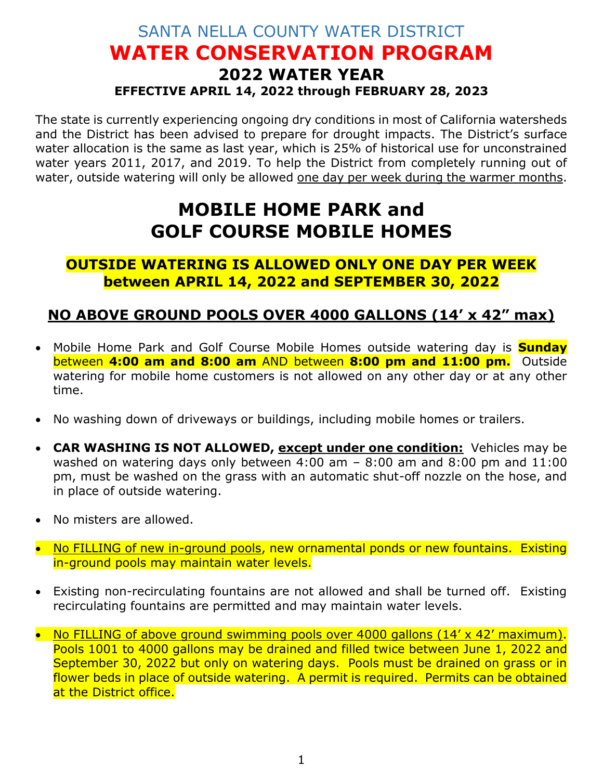## SANTA NELLA COUNTY WATER DISTRICT **WATER CONSERVATION PROGRAM 2022 WATER YEAR EFFECTIVE APRIL 14, 2022 through FEBRUARY 28, 2023**

The state is currently experiencing ongoing dry conditions in most of California watersheds and the District has been advised to prepare for drought impacts. The District's surface water allocation is the same as last year, which is 25% of historical use for unconstrained water years 2011, 2017, and 2019. To help the District from completely running out of water, outside watering will only be allowed one day per week during the warmer months.

## **MOBILE HOME PARK and GOLF COURSE MOBILE HOMES**

**OUTSIDE WATERING IS ALLOWED ONLY ONE DAY PER WEEK between APRIL 14, 2022 and SEPTEMBER 30, 2022**

## **NO ABOVE GROUND POOLS OVER 4000 GALLONS (14' x 42" max)**

- Mobile Home Park and Golf Course Mobile Homes outside watering day is **Sunday**  between **4:00 am and 8:00 am** AND between **8:00 pm and 11:00 pm.** Outside watering for mobile home customers is not allowed on any other day or at any other time.
- No washing down of driveways or buildings, including mobile homes or trailers.
- **CAR WASHING IS NOT ALLOWED, except under one condition:** Vehicles may be washed on watering days only between 4:00 am – 8:00 am and 8:00 pm and 11:00 pm, must be washed on the grass with an automatic shut-off nozzle on the hose, and in place of outside watering.
- No misters are allowed.
- No FILLING of new in-ground pools, new ornamental ponds or new fountains. Existing in-ground pools may maintain water levels.
- Existing non-recirculating fountains are not allowed and shall be turned off. Existing recirculating fountains are permitted and may maintain water levels.
- No FILLING of above ground swimming pools over 4000 gallons (14' x 42' maximum). Pools 1001 to 4000 gallons may be drained and filled twice between June 1, 2022 and September 30, 2022 but only on watering days. Pools must be drained on grass or in flower beds in place of outside watering. A permit is required. Permits can be obtained at the District office.